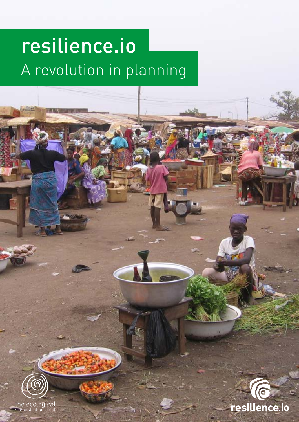# resilience.io A revolution in planning



the ecological<br>sequestration trust

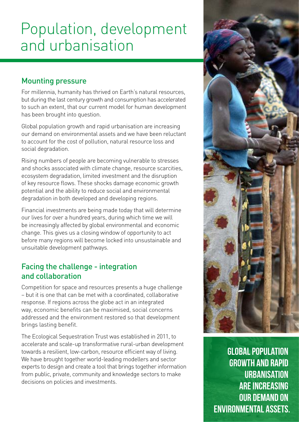## Population, development and urbanisation

#### Mounting pressure

For millennia, humanity has thrived on Earth's natural resources, but during the last century growth and consumption has accelerated to such an extent, that our current model for human development has been brought into question.

Global population growth and rapid urbanisation are increasing our demand on environmental assets and we have been reluctant to account for the cost of pollution, natural resource loss and social degradation.

Rising numbers of people are becoming vulnerable to stresses and shocks associated with climate change, resource scarcities, ecosystem degradation, limited investment and the disruption of key resource flows. These shocks damage economic growth potential and the ability to reduce social and environmental degradation in both developed and developing regions.

Financial investments are being made today that will determine our lives for over a hundred years, during which time we will be increasingly affected by global environmental and economic change. This gives us a closing window of opportunity to act before many regions will become locked into unsustainable and unsuitable development pathways.

#### Facing the challenge - integration and collaboration

Competition for space and resources presents a huge challenge – but it is one that can be met with a coordinated, collaborative response. If regions across the globe act in an integrated way, economic benefits can be maximised, social concerns addressed and the environment restored so that development brings lasting benefit.

The Ecological Sequestration Trust was established in 2011, to accelerate and scale-up transformative rural-urban development towards a resilient, low-carbon, resource efficient way of living. We have brought together world-leading modellers and sector experts to design and create a tool that brings together information from public, private, community and knowledge sectors to make decisions on policies and investments.



GLOBAL POPULATION GROWTH AND RAPID **URBANISATION** ARE INCREASING OUR DEMAND ON ENVIRONMENTAL ASSETS.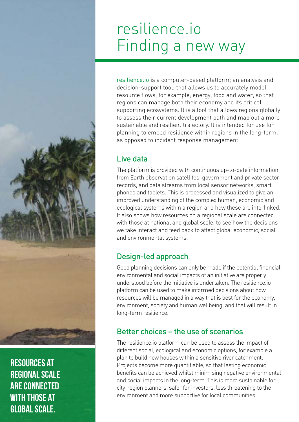# resilience.io Finding a new way

[resilience.io](http://resilience.io) is a computer-based platform; an analysis and decision-support tool, that allows us to accurately model resource flows, for example, energy, food and water, so that regions can manage both their economy and its critical supporting ecosystems. It is a tool that allows regions globally to assess their current development path and map out a more sustainable and resilient trajectory. It is intended for use for planning to embed resilience within regions in the long-term, as opposed to incident response management.

#### Live data

The platform is provided with continuous up-to-date information from Earth observation satellites, government and private sector records, and data streams from local sensor networks, smart phones and tablets. This is processed and visualized to give an improved understanding of the complex human, economic and ecological systems within a region and how these are interlinked. It also shows how resources on a regional scale are connected with those at national and global scale, to see how the decisions we take interact and feed back to affect global economic, social and environmental systems.

### Design-led approach

Good planning decisions can only be made if the potential financial, environmental and social impacts of an initiative are properly understood before the initiative is undertaken. The resilience.io platform can be used to make informed decisions about how resources will be managed in a way that is best for the economy, environment, society and human wellbeing, and that will result in long-term resilience.

### Better choices – the use of scenarios

The resilience.io platform can be used to assess the impact of different social, ecological and economic options, for example a plan to build new houses within a sensitive river catchment. Projects become more quantifiable, so that lasting economic benefits can be achieved whilst minimising negative environmental and social impacts in the long-term. This is more sustainable for city-region planners, safer for investors, less threatening to the environment and more supportive for local communities.

RESOURCES AT REGIONAL SCALE ARE CONNECTED WITH THOSE AT GLOBAL SCALE.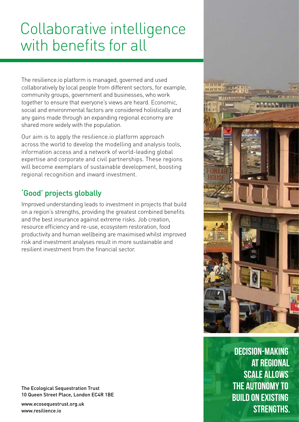# Collaborative intelligence with benefits for all

The [resilience.io](http://resilience.io) platform is managed, governed and used collaboratively by local people from different sectors, for example, community groups, government and businesses, who work together to ensure that everyone's views are heard. Economic, social and environmental factors are considered holistically and any gains made through an expanding regional economy are shared more widely with the population.

Our aim is to apply the [resilience.io](http://resilience.io) platform approach across the world to develop the modelling and analysis tools, information access and a network of world-leading global expertise and corporate and civil partnerships. These regions will become exemplars of sustainable development, boosting regional recognition and inward investment.

### 'Good' projects globally

Improved understanding leads to investment in projects that build on a region's strengths, providing the greatest combined benefits and the best insurance against extreme risks. Job creation, resource efficiency and re-use, ecosystem restoration, food productivity and human wellbeing are maximised whilst improved risk and investment analyses result in more sustainable and resilient investment from the financial sector.



DECISION-MAKING AT REGIONAL SCALE ALLOWS THE AUTONOMY TO BUILD ON EXISTING STRENGTHS.

The Ecological Sequestration Trust 10 Queen Street Place, London EC4R 1BE

<www.ecosequestrust.org.uk> [www.resilience.io](http://resilience.io)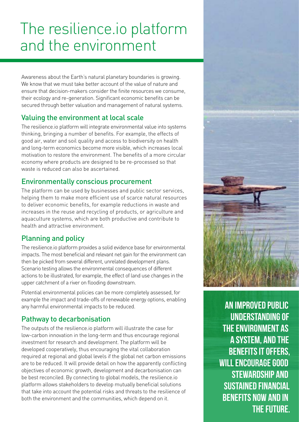# The resilience.io platform and the environment

Awareness about the Earth's natural planetary boundaries is growing. We know that we must take better account of the value of nature and ensure that decision-makers consider the finite resources we consume, their ecology and re-generation. Significant economic benefits can be secured through better valuation and management of natural systems.

#### Valuing the environment at local scale

The resilience.io platform will integrate environmental value into systems thinking, bringing a number of benefits. For example, the effects of good air, water and soil quality and access to biodiversity on health and long-term economics become more visible, which increases local motivation to restore the environment. The benefits of a more circular economy where products are designed to be re-processed so that waste is reduced can also be ascertained.

#### Environmentally conscious procurement

The platform can be used by businesses and public sector services, helping them to make more efficient use of scarce natural resources to deliver economic benefits, for example reductions in waste and increases in the reuse and recycling of products, or agriculture and aquaculture systems, which are both productive and contribute to health and attractive environment.

#### Planning and policy

The resilience.io platform provides a solid evidence base for environmental impacts. The most beneficial and relevant net gain for the environment can then be picked from several different, unrelated development plans. Scenario testing allows the environmental consequences of different actions to be illustrated, for example, the effect of land use changes in the upper catchment of a river on flooding downstream.

Potential environmental policies can be more completely assessed, for example the impact and trade-offs of renewable energy options, enabling any harmful environmental impacts to be reduced.

#### Pathway to decarbonisation

The outputs of the [resilience.io](http://resilience.io) platform will illustrate the case for low-carbon innovation in the long-term and thus encourage regional investment for research and development. The platform will be developed cooperatively, thus encouraging the vital collaboration required at regional and global levels if the global net carbon emissions are to be reduced. It will provide detail on how the apparently conflicting objectives of economic growth, development and decarbonisation can be best reconciled. By connecting to global models, the resilience.io platform allows stakeholders to develop mutually beneficial solutions that take into account the potential risks and threats to the resilience of both the environment and the communities, which depend on it.

AN IMPROVED PUBLIC UNDERSTANDING OF THE ENVIRONMENT AS A SYSTEM, AND THE BENEFITS IT OFFERS, WILL ENCOURAGE GOOD STEWARDSHIP AND SUSTAINED FINANCIAL BENEFITS NOW AND IN THE FUTURE.

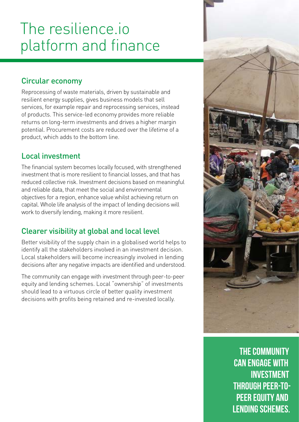# The resilience.io platform and finance

### Circular economy

Reprocessing of waste materials, driven by sustainable and resilient energy supplies, gives business models that sell services, for example repair and reprocessing services, instead of products. This service-led economy provides more reliable returns on long-term investments and drives a higher margin potential. Procurement costs are reduced over the lifetime of a product, which adds to the bottom line.

### Local investment

The financial system becomes locally focused, with strengthened investment that is more resilient to financial losses, and that has reduced collective risk. Investment decisions based on meaningful and reliable data, that meet the social and environmental objectives for a region, enhance value whilst achieving return on capital. Whole life analysis of the impact of lending decisions will work to diversify lending, making it more resilient.

### Clearer visibility at global and local level

Better visibility of the supply chain in a globalised world helps to identify all the stakeholders involved in an investment decision. Local stakeholders will become increasingly involved in lending decisions after any negative impacts are identified and understood.

The community can engage with investment through peer-to-peer equity and lending schemes. Local "ownership" of investments should lead to a virtuous circle of better quality investment decisions with profits being retained and re-invested locally.



THE COMMUNITY CAN ENGAGE WITH INVESTMENT THROUGH PEER-TO-PEER EQUITY AND LENDING SCHEMES.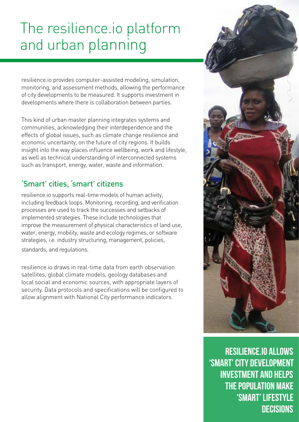# The resilience.io platform and urban planning

resilience.io provides computer-assisted modeling, simulation, monitoring, and assessment methods, allowing the performance of city developments to be measured. It supports investment in developments where there is collaboration between parties.

This kind of urban master planning integrates systems and communities, acknowledging their interdependence and the effects of global issues, such as climate change resilience and economic uncertainty, on the future of city regions. It builds insight into the way places influence wellbeing, work and lifestyle, as well as technical understanding of interconnected systems such as transport, energy, water, waste and information.

### 'Smart' cities, 'smart' citizens

resilience.io supports real-time models of human activity, including feedback loops. Monitoring, recording, and verification processes are used to track the successes and setbacks of implemented strategies. These include technologies that improve the measurement of physical characteristics of land use, water, energy, mobility, waste and ecology regimes, or software strategies, i.e. industry structuring, management, policies, standards, and regulations.

resilience.io draws in real-time data from earth observation satellites, global climate models, geology databases and local social and economic sources, with appropriate layers of security. Data protocols and specifications will be configured to allow alignment with National City performance indicators.



RESILIENCE.IO ALLOWS 'SMART' CITY DEVELOPMENT INVESTMENT AND HELPS THE POPULATION MAKE 'SMART' LIFESTYLE **DECISIONS**